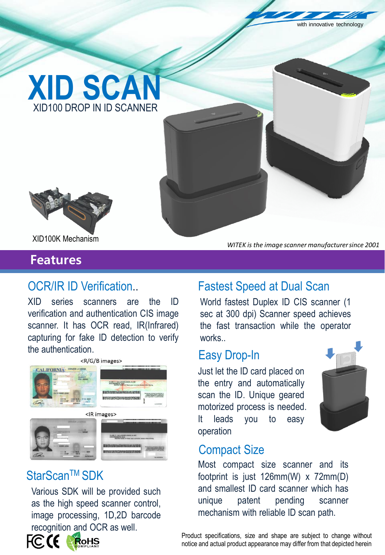with innovative technology





XID100K Mechanism

## **Features**

XID series scanners are the ID verification and authentication CIS image scanner. It has OCR read, IR(Infrared) capturing for fake ID detection to verify the authentication.



## StarScan™ SDK

recognition and OCR as well. Various SDK will be provided such as the high speed scanner control, image processing, 1D,2D barcode



# OCR/IR ID Verification.. Fastest Speed at Dual Scan

World fastest Duplex ID CIS scanner (1 sec at 300 dpi) Scanner speed achieves the fast transaction while the operator works..

*WITEK is the image scanner manufacturer since 2001* 

#### Easy Drop-In

Just let the ID card placed on the entry and automatically scan the ID. Unique geared motorized process is needed. It leads you to easy operation



#### Compact Size

mechanism with reliable ID scan path. Most compact size scanner and its footprint is just 126mm(W) x 72mm(D) and smallest ID card scanner which has unique patent pending scanner

Product specifications, size and shape are subject to change without notice and actual product appearance may differ from that depicted herein